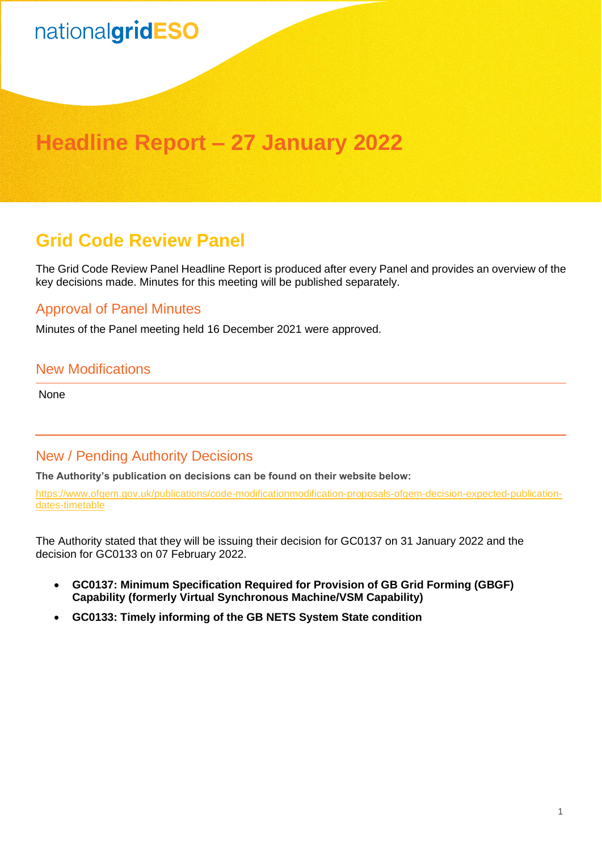## nationalgridESO

### **Headline Report – 27 January 2022**

### **Grid Code Review Panel**

The Grid Code Review Panel Headline Report is produced after every Panel and provides an overview of the key decisions made. Minutes for this meeting will be published separately.

#### Approval of Panel Minutes

Minutes of the Panel meeting held 16 December 2021 were approved.

#### New Modifications

None

#### New / Pending Authority Decisions

**The Authority's publication on decisions can be found on their website below:**

[https://www.ofgem.gov.uk/publications/code-modificationmodification-proposals-ofgem-decision-expected-publication](https://www.ofgem.gov.uk/publications/code-modificationmodification-proposals-ofgem-decision-expected-publication-dates-timetable)[dates-timetable](https://www.ofgem.gov.uk/publications/code-modificationmodification-proposals-ofgem-decision-expected-publication-dates-timetable)

The Authority stated that they will be issuing their decision for GC0137 on 31 January 2022 and the decision for GC0133 on 07 February 2022.

- **GC0137: Minimum Specification Required for Provision of GB Grid Forming (GBGF) Capability (formerly Virtual Synchronous Machine/VSM Capability)**
- **GC0133: Timely informing of the GB NETS System State condition**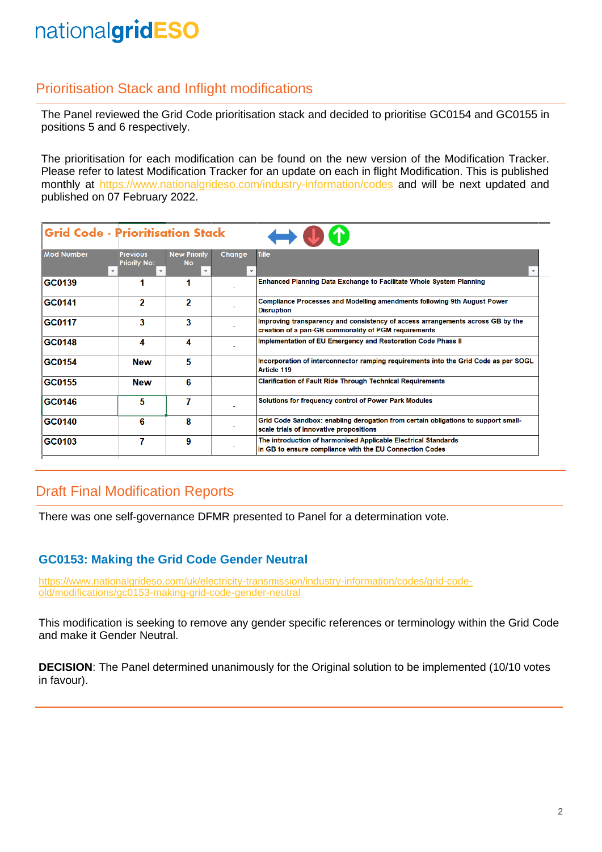### nationalgridESO

#### Prioritisation Stack and Inflight modifications

The Panel reviewed the Grid Code prioritisation stack and decided to prioritise GC0154 and GC0155 in positions 5 and 6 respectively.

The prioritisation for each modification can be found on the new version of the Modification Tracker. Please refer to latest Modification Tracker for an update on each in flight Modification. This is published monthly at <https://www.nationalgrideso.com/industry-information/codes> and will be next updated and published on 07 February 2022.

| <b>Grid Code - Prioritisation Stack</b> |                                        |                                                             |        |                                                                                                                                        |
|-----------------------------------------|----------------------------------------|-------------------------------------------------------------|--------|----------------------------------------------------------------------------------------------------------------------------------------|
| <b>Mod Number</b>                       | <b>Previous</b><br><b>Priority No:</b> | <b>New Priority</b><br><b>No</b><br>$\overline{\mathbf{v}}$ | Change | Title                                                                                                                                  |
| GC0139                                  |                                        |                                                             |        | Enhanced Planning Data Exchange to Facilitate Whole System Planning                                                                    |
| GC0141                                  | 2                                      | 2                                                           |        | <b>Compliance Processes and Modelling amendments following 9th August Power</b><br><b>Disruption</b>                                   |
| GC0117                                  | 3                                      | 3                                                           |        | Improving transparency and consistency of access arrangements across GB by the<br>creation of a pan-GB commonality of PGM requirements |
| GC0148                                  | 4                                      | 4                                                           |        | Implementation of EU Emergency and Restoration Code Phase II                                                                           |
| GC0154                                  | <b>New</b>                             | 5                                                           |        | Incorporation of interconnector ramping requirements into the Grid Code as per SOGL<br><b>Article 119</b>                              |
| GC0155                                  | <b>New</b>                             | 6                                                           |        | <b>Clarification of Fault Ride Through Technical Requirements</b>                                                                      |
| GC0146                                  | 5                                      | 7                                                           |        | Solutions for frequency control of Power Park Modules                                                                                  |
| GC0140                                  | 6                                      | 8                                                           |        | Grid Code Sandbox: enabling derogation from certain obligations to support small-<br>scale trials of innovative propositions           |
| GC0103                                  | 7                                      | 9                                                           |        | The introduction of harmonised Applicable Electrical Standards<br>in GB to ensure compliance with the EU Connection Codes              |

#### Draft Final Modification Reports

There was one self-governance DFMR presented to Panel for a determination vote.

#### **GC0153: Making the Grid Code Gender Neutral**

[https://www.nationalgrideso.com/uk/electricity-transmission/industry-information/codes/grid-code](https://www.nationalgrideso.com/uk/electricity-transmission/industry-information/codes/grid-code-old/modifications/gc0153-making-grid-code-gender-neutral)[old/modifications/gc0153-making-grid-code-gender-neutral](https://www.nationalgrideso.com/uk/electricity-transmission/industry-information/codes/grid-code-old/modifications/gc0153-making-grid-code-gender-neutral)

This modification is seeking to remove any gender specific references or terminology within the Grid Code and make it Gender Neutral.

**DECISION**: The Panel determined unanimously for the Original solution to be implemented (10/10 votes in favour).